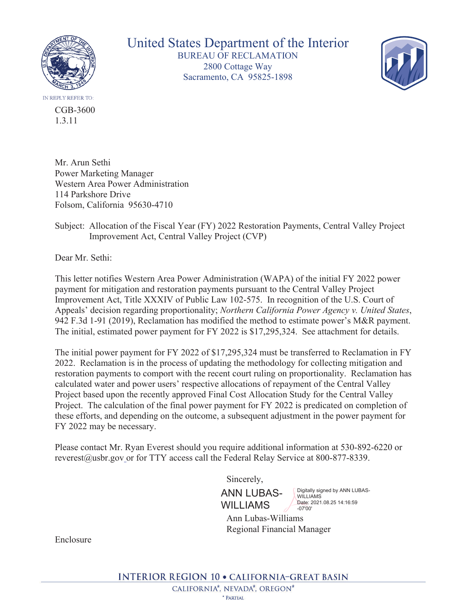

CGB-3600 1.3.11

United States Department of the Interior BUREAU OF RECLAMATION 2800 Cottage Way Sacramento, CA 95825-1898



Mr. Arun Sethi Power Marketing Manager Western Area Power Administration 114 Parkshore Drive Folsom, California 95630-4710

Subject: Allocation of the Fiscal Year (FY) 2022 Restoration Payments, Central Valley Project Improvement Act, Central Valley Project (CVP)

Dear Mr. Sethi:

This letter notifies Western Area Power Administration (WAPA) of the initial FY 2022 power payment for mitigation and restoration payments pursuant to the Central Valley Project Improvement Act, Title XXXIV of Public Law 102-575. In recognition of the U.S. Court of Appeals' decision regarding proportionality; *Northern California Power Agency v. United States*, 942 F.3d 1-91 (2019), Reclamation has modified the method to estimate power's M&R payment. The initial, estimated power payment for FY 2022 is \$17,295,324. See attachment for details.

The initial power payment for FY 2022 of \$17,295,324 must be transferred to Reclamation in FY 2022. Reclamation is in the process of updating the methodology for collecting mitigation and restoration payments to comport with the recent court ruling on proportionality. Reclamation has calculated water and power users' respective allocations of repayment of the Central Valley Project based upon the recently approved Final Cost Allocation Study for the Central Valley Project. The calculation of the final power payment for FY 2022 is predicated on completion of these efforts, and depending on the outcome, a subsequent adjustment in the power payment for FY 2022 may be necessary.

Please contact Mr. Ryan Everest should you require additional information at 530-892-6220 or reverest@usbr.gov or for TTY access call the Federal Relay Service at 800-877-8339.

Sincerely,

ANN LUBAS-WILLIAMS

Digitally signed by ANN LUBAS-WILLIAMS Date: 2021.08.25 14:16:59

 Ann Lubas-Williams Regional Financial Manager -07'00'

Enclosure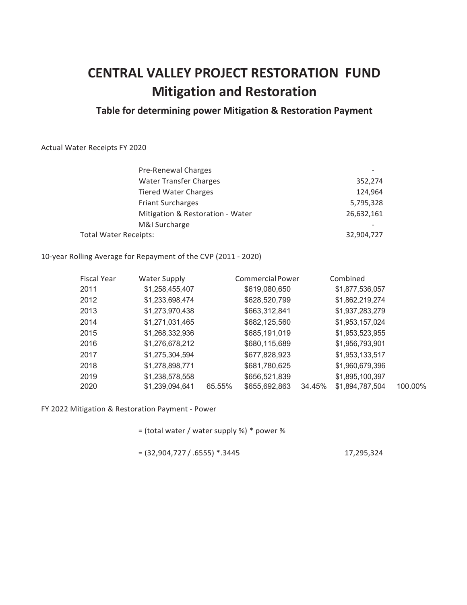## **CENTRAL VALLEY PROJECT RESTORATION FUND Mitigation and Restoration**

## **Table for determining power Mitigation & Restoration Payment**

## Actual Water Receipts FY 2020

| Pre-Renewal Charges              |            |
|----------------------------------|------------|
| <b>Water Transfer Charges</b>    | 352,274    |
| <b>Tiered Water Charges</b>      | 124,964    |
| <b>Friant Surcharges</b>         | 5,795,328  |
| Mitigation & Restoration - Water | 26,632,161 |
| M&I Surcharge                    |            |
| Total Water Receipts:            | 32,904,727 |

10-year Rolling Average for Repayment of the CVP (2011 - 2020)

| <b>Fiscal Year</b> | Water Supply    |        | Commercial Power |        | Combined        |         |
|--------------------|-----------------|--------|------------------|--------|-----------------|---------|
| 2011               | \$1,258,455,407 |        | \$619,080,650    |        | \$1,877,536,057 |         |
| 2012               | \$1,233,698,474 |        | \$628,520,799    |        | \$1,862,219,274 |         |
| 2013               | \$1,273,970,438 |        | \$663,312,841    |        | \$1,937,283,279 |         |
| 2014               | \$1,271,031,465 |        | \$682,125,560    |        | \$1,953,157,024 |         |
| 2015               | \$1,268,332,936 |        | \$685,191,019    |        | \$1,953,523,955 |         |
| 2016               | \$1,276,678,212 |        | \$680,115,689    |        | \$1,956,793,901 |         |
| 2017               | \$1,275,304,594 |        | \$677,828,923    |        | \$1,953,133,517 |         |
| 2018               | \$1,278,898,771 |        | \$681,780,625    |        | \$1,960,679,396 |         |
| 2019               | \$1,238,578,558 |        | \$656,521,839    |        | \$1,895,100,397 |         |
| 2020               | \$1,239,094,641 | 65.55% | \$655,692,863    | 34.45% | \$1,894,787,504 | 100.00% |

FY 2022 Mitigation & Restoration Payment - Power

= (total water / water supply %) \* power %

 $= (32,904,727 / .6555)$  \*.3445 17,295,324